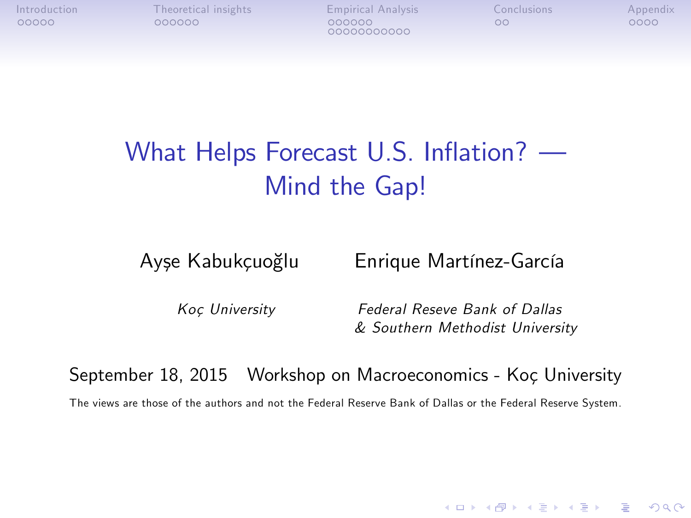00000000000

# What Helps Forecast U.S. Inflation?  $\rightarrow$ Mind the Gap!

Ayşe Kabukçuoğlu Enrique Martínez-García

Koc University Federal Reseve Bank of Dallas & Southern Methodist University

**KORK ERKER ADE YOUR** 

September 18, 2015 Workshop on Macroeconomics - Koç University

<span id="page-0-0"></span>The views are those of the authors and not the Federal Reserve Bank of Dallas or the Federal Reserve System.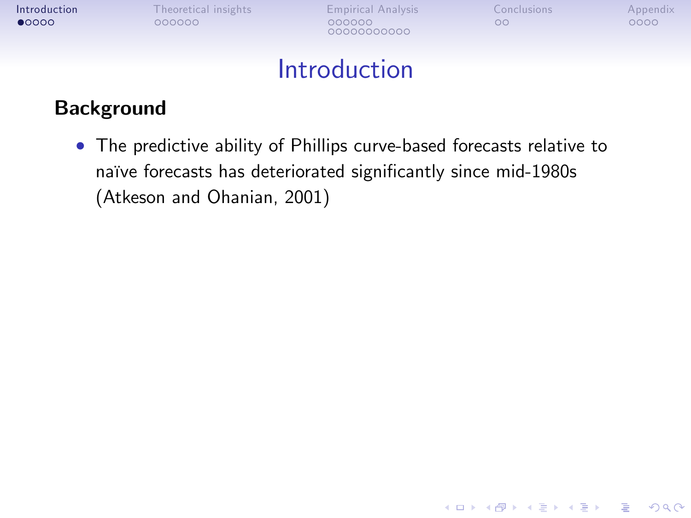00000000000

**KORK STRATER STRAKER** 

### **Introduction**

#### Background

<span id="page-1-0"></span> The predictive ability of Phillips curve-based forecasts relative to naïve forecasts has deteriorated significantly since mid-1980s (Atkeson and Ohanian, 2001)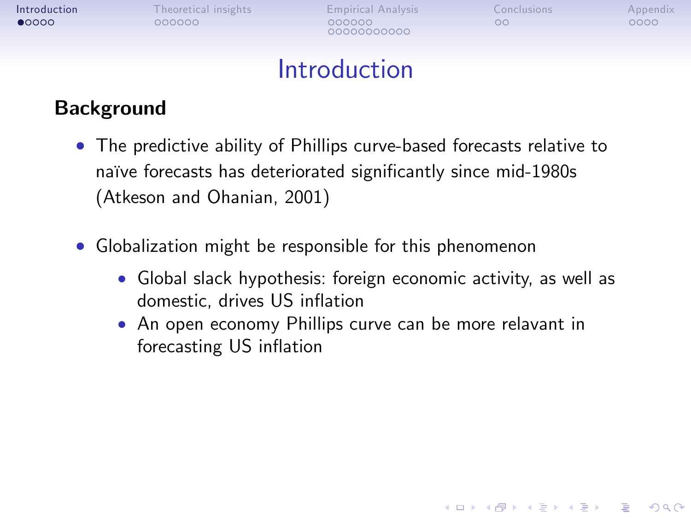00000000000

**KORK STRATER STRAKER** 

### Introduction

#### **Background**

- The predictive ability of Phillips curve-based forecasts relative to naïve forecasts has deteriorated significantly since mid-1980s (Atkeson and Ohanian, 2001)
- Globalization might be responsible for this phenomenon
	- Global slack hypothesis: foreign economic activity, as well as domestic, drives US inflation
	- An open economy Phillips curve can be more relavant in forecasting US inflation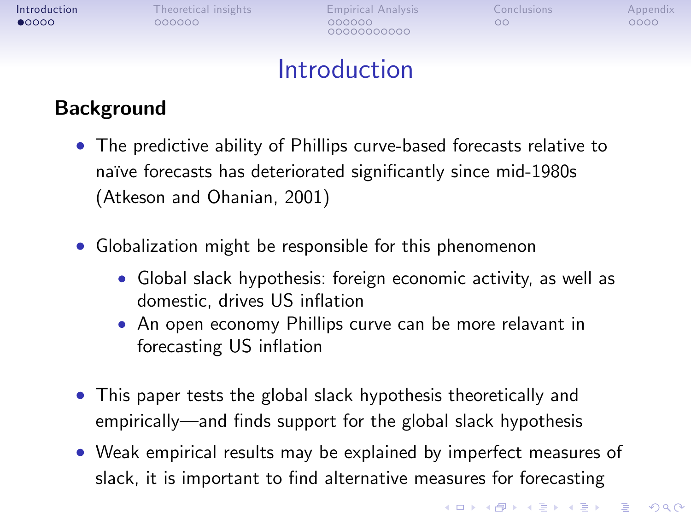| Introduction   |
|----------------|
| $\bullet$ 0000 |

[Theoretical insights](#page-14-0) [Empirical Analysis](#page-20-0) [Conclusions](#page-39-0) [Appendix](#page-41-0)<br>
000000 000000 000000 00000 0000 00000000000

## Introduction

#### Background

- The predictive ability of Phillips curve-based forecasts relative to naïve forecasts has deteriorated significantly since mid-1980s (Atkeson and Ohanian, 2001)
- Globalization might be responsible for this phenomenon
	- Global slack hypothesis: foreign economic activity, as well as domestic, drives US inflation
	- An open economy Phillips curve can be more relavant in forecasting US inflation
- This paper tests the global slack hypothesis theoretically and empirically—and finds support for the global slack hypothesis
- Weak empirical results may be explained by imperfect measures of slack, it is important to find alternative measures for forecasting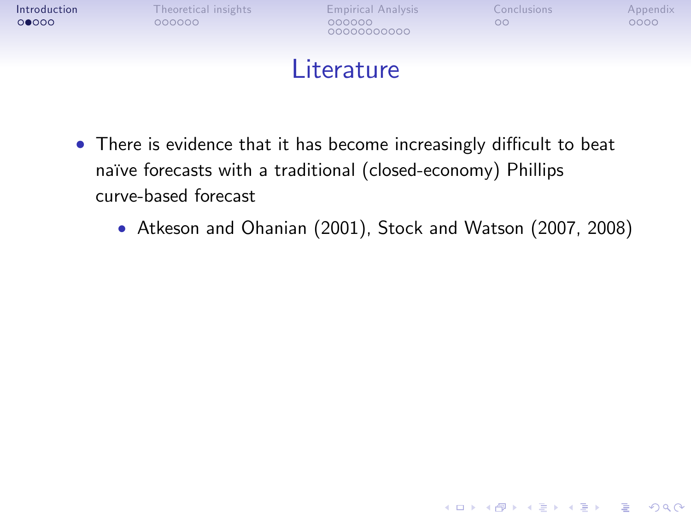| Introduction |  |
|--------------|--|
| 00000        |  |

00000000000

**KORK STRATER STRAKER** 

### **Literature**

- $\bullet$  There is evidence that it has become increasingly difficult to beat naïve forecasts with a traditional (closed-economy) Phillips curve-based forecast
	- Atkeson and Ohanian (2001), Stock and Watson (2007, 2008)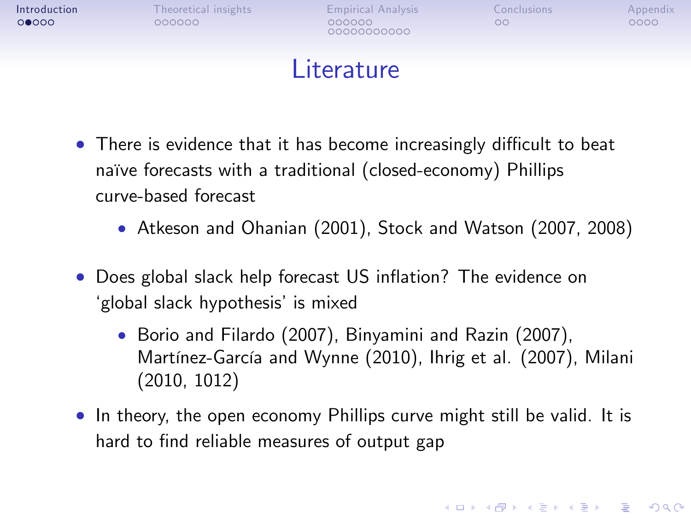00000000000

**KORK STRATER STRAKER** 

### Literature

- $\bullet$  There is evidence that it has become increasingly difficult to beat naïve forecasts with a traditional (closed-economy) Phillips curve-based forecast
	- Atkeson and Ohanian (2001), Stock and Watson (2007, 2008)
- Does global slack help forecast US inflation? The evidence on ʻglobal slack hypothesis' is mixed
	- Borio and Filardo (2007), Binyamini and Razin (2007), Martínez-García and Wynne (2010), Ihrig et al. (2007), Milani (2010, 1012)
- <span id="page-5-0"></span>• In theory, the open economy Phillips curve might still be valid. It is hard to find reliable measures of output gap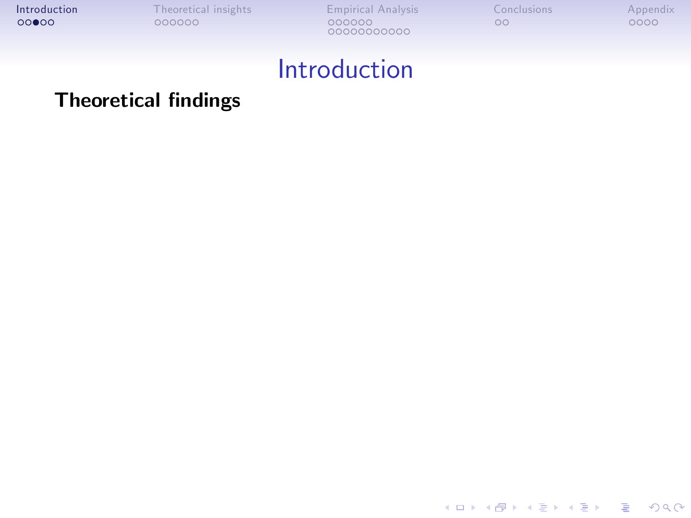<span id="page-6-0"></span>K ロ ▶ K @ ▶ K 할 ▶ K 할 ▶ | 할 | © 9 Q @

### Introduction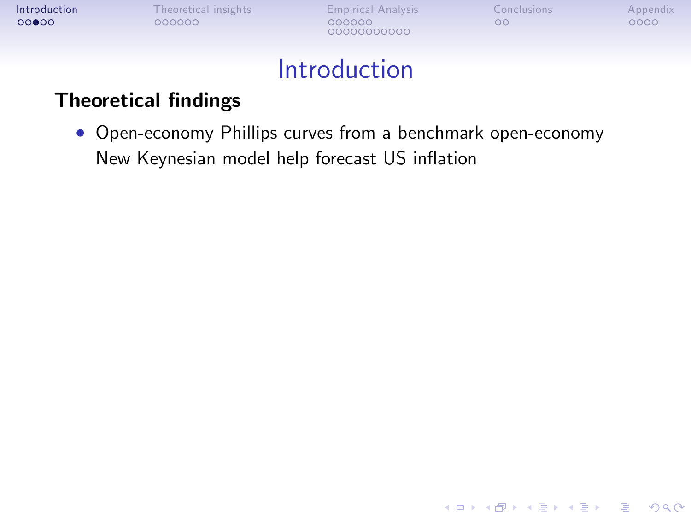| Introduction |
|--------------|
| 00000        |

[Theoretical insights](#page-14-0) [Empirical Analysis](#page-20-0) [Conclusions](#page-39-0) [Appendix](#page-41-0)<br>
000000 000000 000000 00000 0000 00000000000

K ロ ▶ K @ ▶ K 할 > K 할 > 1 할 > 1 9 Q Q ^

### Introduction

#### **Theoretical findings**

 Open-economy Phillips curves from a benchmark open-economy New Keynesian model help forecast US inflation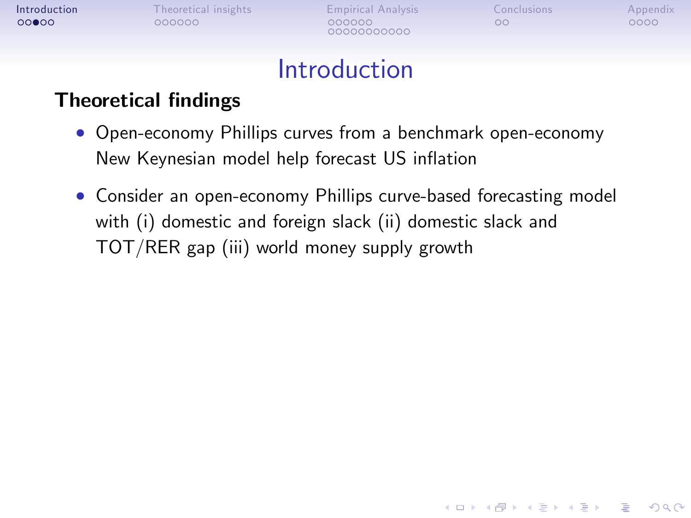00000000000

**KORK STRATER STRAKER** 

### Introduction

- Open-economy Phillips curves from a benchmark open-economy New Keynesian model help forecast US inflation
- Consider an open-economy Phillips curve-based forecasting model with (i) domestic and foreign slack (ii) domestic slack and TOT/RER gap (iii) world money supply growth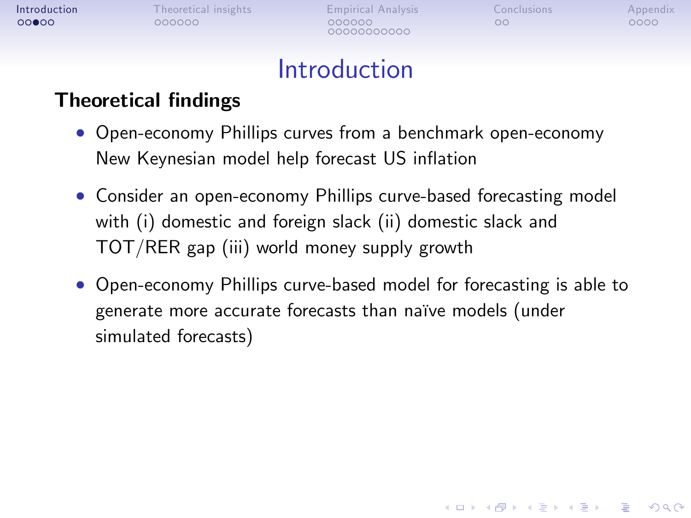00000000000

**KORK STRATER STRAKER** 

### Introduction

- Open-economy Phillips curves from a benchmark open-economy New Keynesian model help forecast US inflation
- Consider an open-economy Phillips curve-based forecasting model with (i) domestic and foreign slack (ii) domestic slack and TOT/RER gap (iii) world money supply growth
- <span id="page-9-0"></span> Open-economy Phillips curve-based model for forecasting is able to generate more accurate forecasts than naïve models (under simulated forecasts)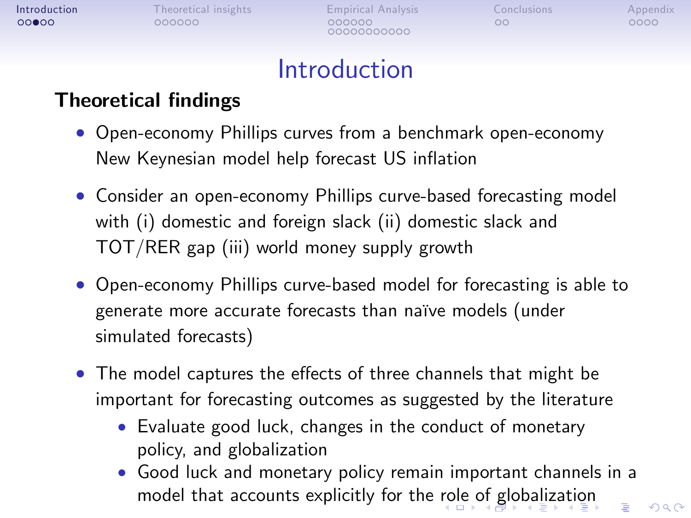| Introduction |  |
|--------------|--|
| 00000        |  |

00000000000

 $\Omega$ 

## **Introduction**

- Open-economy Phillips curves from a benchmark open-economy New Keynesian model help forecast US inflation
- Consider an open-economy Phillips curve-based forecasting model with (i) domestic and foreign slack (ii) domestic slack and TOT/RER gap (iii) world money supply growth
- Open-economy Phillips curve-based model for forecasting is able to generate more accurate forecasts than naïve models (under simulated forecasts)
- <span id="page-10-0"></span>• The model captures the effects of three channels that might be important for forecasting outcomes as suggested by the literature
	- Evaluate good luck, changes in the conduct of monetary policy, and globalization
	- Good luck and monetary policy remain important channels in a model that accounts explicitly for the [ro](#page-9-0)l[e o](#page-11-0)[f](#page-5-0)[gl](#page-10-0)[o](#page-11-0)[b](#page-0-0)[al](#page-1-0)[i](#page-13-0)[za](#page-14-0)[ti](#page-0-0)[o](#page-1-0)[n](#page-13-0)÷.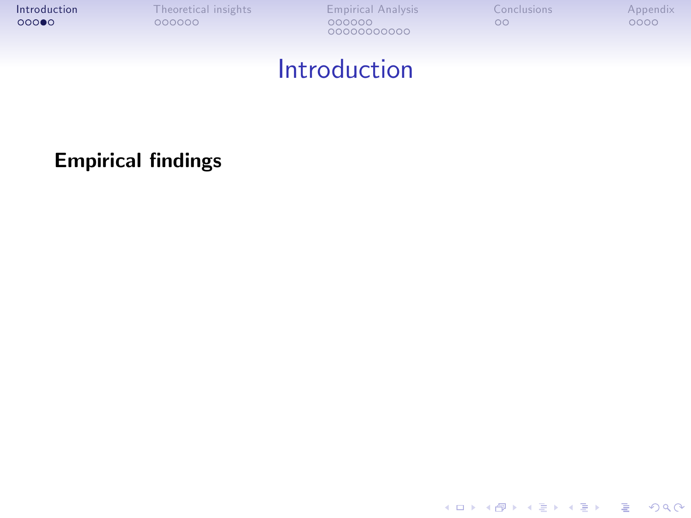### Introduction

<span id="page-11-0"></span>**Empirical findings** 

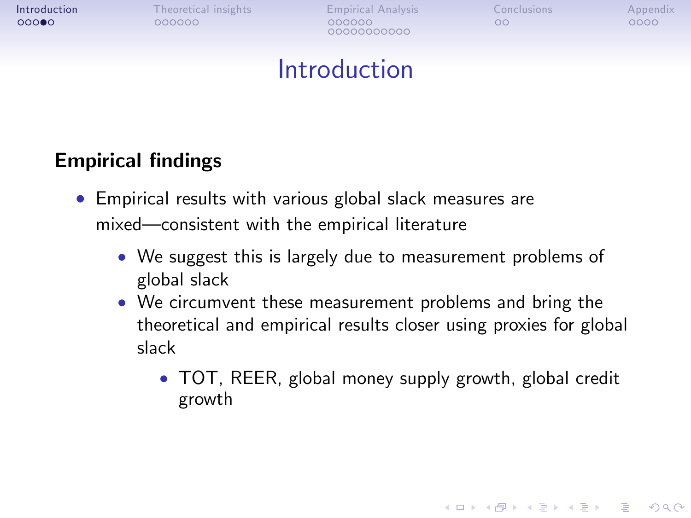00000000000

**KORK STRATER STRAKER** 

## Introduction

#### **Empirical findings**

- Empirical results with various global slack measures are mixed—consistent with the empirical literature
	- We suggest this is largely due to measurement problems of global slack
	- We circumvent these measurement problems and bring the theoretical and empirical results closer using proxies for global slack
		- TOT, REER, global money supply growth, global credit growth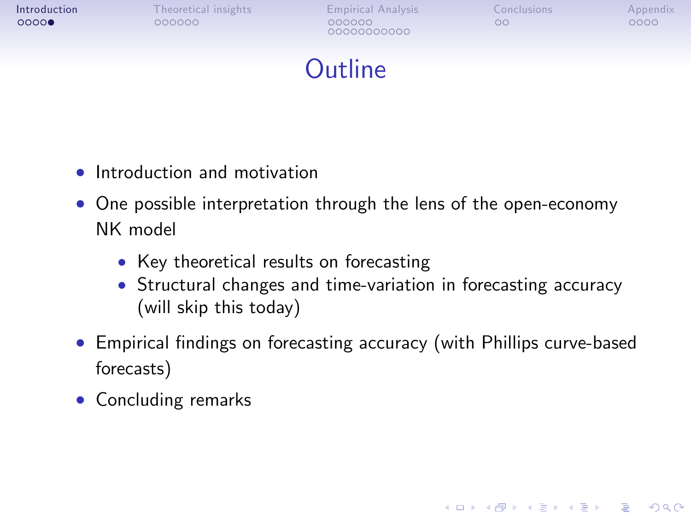| Introduction |
|--------------|
| 00000        |

00000000000

**KORK STRATER STRAKER** 

## **Outline**

- Introduction and motivation
- One possible interpretation through the lens of the open-economy NK model
	- Key theoretical results on forecasting
	- Structural changes and time-variation in forecasting accuracy (will skip this today)
- Empirical findings on forecasting accuracy (with Phillips curve-based forecasts)
- <span id="page-13-0"></span>• Concluding remarks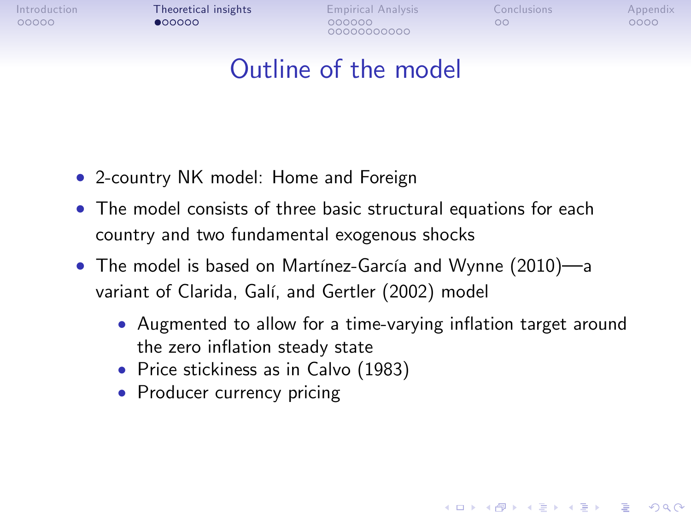[Introduction](#page-1-0) **[Theoretical insights](#page-14-0)** [Empirical Analysis](#page-20-0) [Conclusions](#page-39-0) [Appendix](#page-41-0)<br>
00000 00000 00000 00000 00000 0000

00000000000

**KORK ERRY ABY DE YOUR** 

## Outline of the model

- 2-country NK model: Home and Foreign
- The model consists of three basic structural equations for each country and two fundamental exogenous shocks
- <span id="page-14-0"></span> $\bullet$  The model is based on Martínez-García and Wynne (2010)—a variant of Clarida, Galí, and Gertler (2002) model
	- Augmented to allow for a time-varying inflation target around the zero inflation steady state
	- Price stickiness as in Calvo (1983)
	- Producer currency pricing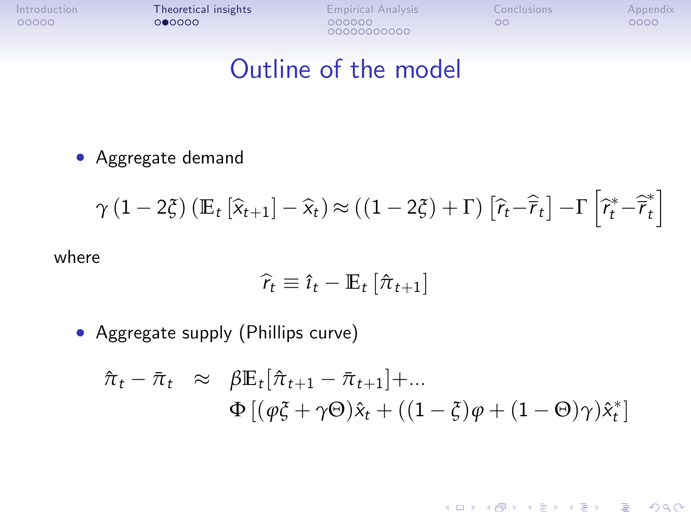[Introduction](#page-1-0) **[Theoretical insights](#page-14-0)** [Empirical Analysis](#page-20-0) [Conclusions](#page-39-0) [Appendix](#page-41-0)<br>
00000 00000 00000 00000 00000 0000 00000000000

K ロ ▶ K @ ▶ K 할 > K 할 > 1 할 > 1 이익어

### Outline of the model

Aggregate demand

$$
\gamma (1 - 2\xi) \left( \mathbb{E}_t \left[ \widehat{x}_{t+1} \right] - \widehat{x}_t \right) \approx \left( (1 - 2\xi) + \Gamma \right) \left[ \widehat{r}_t - \widehat{r}_t \right] - \Gamma \left[ \widehat{r}_t^* - \widehat{r}_t^* \right]
$$

where

$$
\widehat{r}_t \equiv \widehat{\imath}_t - \mathbb{E}_t \left[ \widehat{\pi}_{t+1} \right]
$$

Aggregate supply (Phillips curve)

<span id="page-15-0"></span>
$$
\hat{\pi}_t - \bar{\pi}_t \approx \beta \mathbb{E}_t[\hat{\pi}_{t+1} - \bar{\pi}_{t+1}] + ... \n\Phi [(\varphi \xi + \gamma \Theta) \hat{x}_t + ((1 - \xi)\varphi + (1 - \Theta)\gamma) \hat{x}_t^*]
$$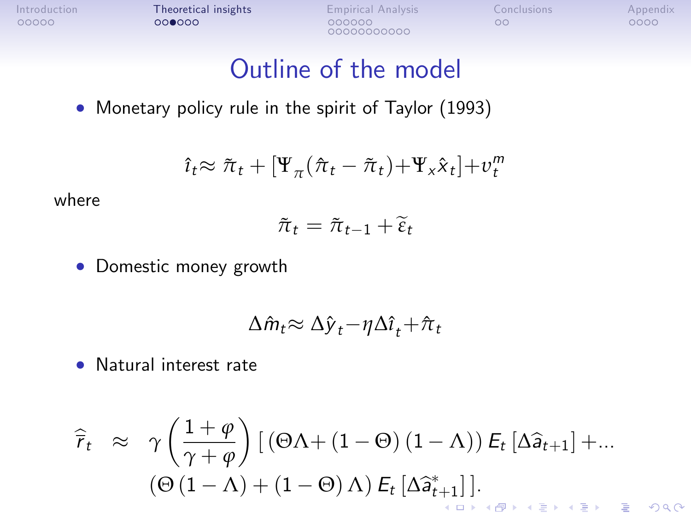[Introduction](#page-1-0) **[Theoretical insights](#page-14-0)** [Empirical Analysis](#page-20-0) [Conclusions](#page-39-0) [Appendix](#page-41-0)<br>
00000 00000 00000 00000 00000 0000

00000000000

### Outline of the model

• Monetary policy rule in the spirit of Taylor (1993)

$$
\hat{\imath}_t \approx \tilde{\pi}_t + [\Psi_\pi(\hat{\pi}_t - \tilde{\pi}_t) + \Psi_\mathbf{x} \hat{\mathbf{x}}_t] + \nu_t^m
$$

where

$$
\tilde{\pi}_t = \tilde{\pi}_{t-1} + \tilde{\varepsilon}_t
$$

Domestic money growth

$$
\Delta \hat{m}_t \approx \Delta \hat{y}_t - \eta \Delta \hat{i}_t + \hat{\pi}_t
$$

Natural interest rate

$$
\widehat{r}_t \approx \gamma \left( \frac{1+\varphi}{\gamma+\varphi} \right) \left[ \left( \Theta \Lambda + (1-\Theta) (1-\Lambda) \right) E_t \left[ \Delta \widehat{a}_{t+1} \right] + \dots \right]
$$

$$
\left( \Theta \left( 1-\Lambda \right) + (1-\Theta) \Lambda \right) E_t \left[ \Delta \widehat{a}_{t+1}^* \right].
$$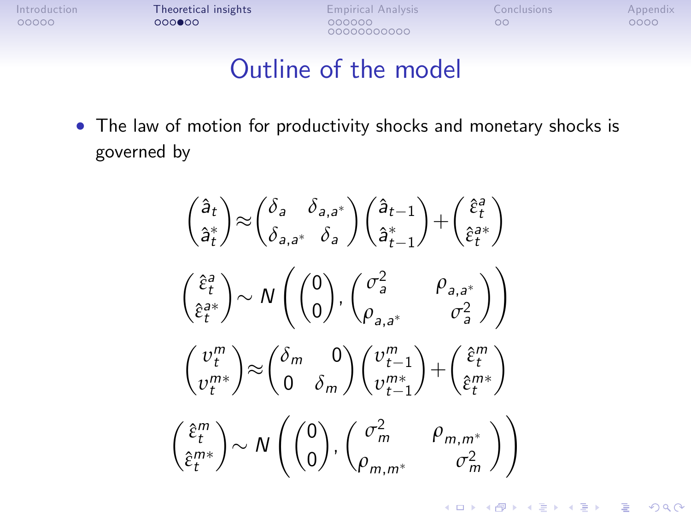0000000000

### Outline of the model

 The law of motion for productivity shocks and monetary shocks is governed by

> $a_t$  $\hat{\mathsf{a}}_{t}^*$  $\setminus$  $\approx$  $\int$ δ<sub>a</sub>  $\delta$ <sub>a,a</sub>\* *δ*a,a *δ*a  $\bigg\langle \hat{a}_{t-1}$  $\hat{\sf a}^*_{t-1}$  $\setminus$  $+$  $\int \hat{\varepsilon}_t^a$ *ε*ˆ a t  $\setminus$  $\int \hat{\varepsilon}_t^a$ *ε*ˆ a t  $\setminus$  $\sim N$  $\int$ 0  $\setminus$ ,  $\int \sigma_a^2$   $\rho_{a,a^*}$  $\rho_{a,a^*}$   $\qquad \sigma_a^2$  $\left\langle \right\rangle$  $\left( v_t^m \right)$  $v_t^{m*}$  $\setminus$  $\approx$  $\delta_m$  0 0 *δ*<sup>m</sup>  $\bigg\{v_{t-1}^m$  $v_{t-}^{m*}$  $t-1$  $\setminus$  $+$  $\int \hat{\varepsilon}_t^m$ *ε*ˆ m t  $\setminus$  $\int \hat{\varepsilon}_t^m$ *ε*ˆ m t  $\setminus$  $\sim N$  $\int$ 0  $\setminus$ ,  $\int \sigma_m^2$   $\rho_{m,m^*}$  $\rho_{m,m^*}$   $\qquad \sigma_m^2$  $\left\langle \right\rangle$

> > **KORK ERKER ADE YOUR**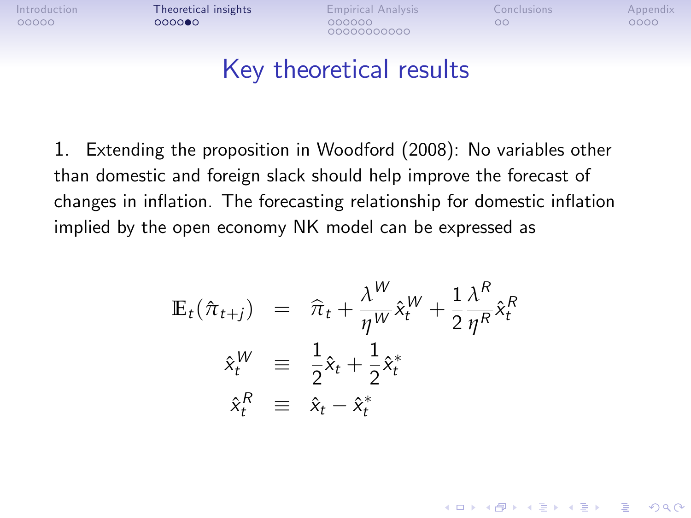[Introduction](#page-1-0) **[Theoretical insights](#page-14-0) E**mpirical Analysis [Conclusions](#page-39-0) [Appendix](#page-41-0)

00000000000

**KORK STRATER STRAKER** 

## Key theoretical results

1. Extending the proposition in Woodford (2008): No variables other than domestic and foreign slack should help improve the forecast of changes in inflation. The forecasting relationship for domestic inflation implied by the open economy NK model can be expressed as

$$
\mathbb{E}_{t}(\hat{\pi}_{t+j}) = \hat{\pi}_{t} + \frac{\lambda^{W}}{\eta^{W}} \hat{x}_{t}^{W} + \frac{1}{2} \frac{\lambda^{R}}{\eta^{R}} \hat{x}_{t}^{R}
$$
\n
$$
\hat{x}_{t}^{W} \equiv \frac{1}{2} \hat{x}_{t} + \frac{1}{2} \hat{x}_{t}^{*}
$$
\n
$$
\hat{x}_{t}^{R} \equiv \hat{x}_{t} - \hat{x}_{t}^{*}
$$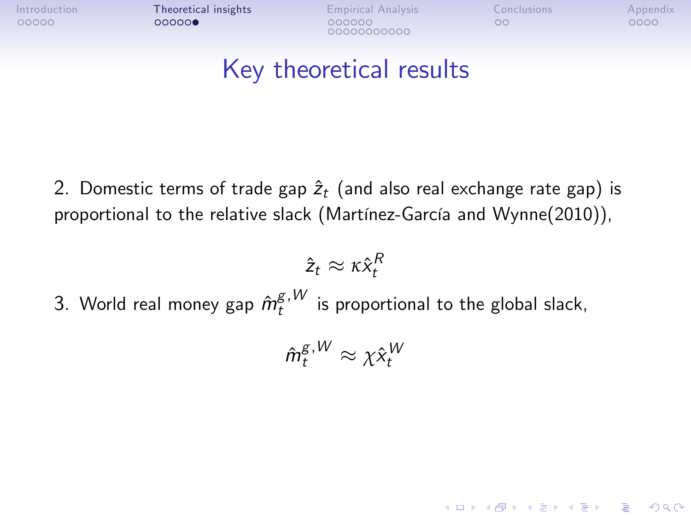[Introduction](#page-1-0) **[Theoretical insights](#page-14-0) E**mpirical Analysis [Conclusions](#page-39-0) [Appendix](#page-41-0)

00000000000

**KORKA SERKER ORA** 

## Key theoretical results

2. Domestic terms of trade gap  $\hat{z}_t$  (and also real exchange rate gap) is proportional to the relative slack (Martínez-García and Wynne(2010)),

$$
\hat{z}_t \approx \kappa \hat{x}_t^R
$$

3. World real money gap  $\hat{m}^{g,W}_t$  is proportional to the global slack,

$$
\hat{m}_t^{\mathcal{g},W} \approx \chi \hat{x}_t^W
$$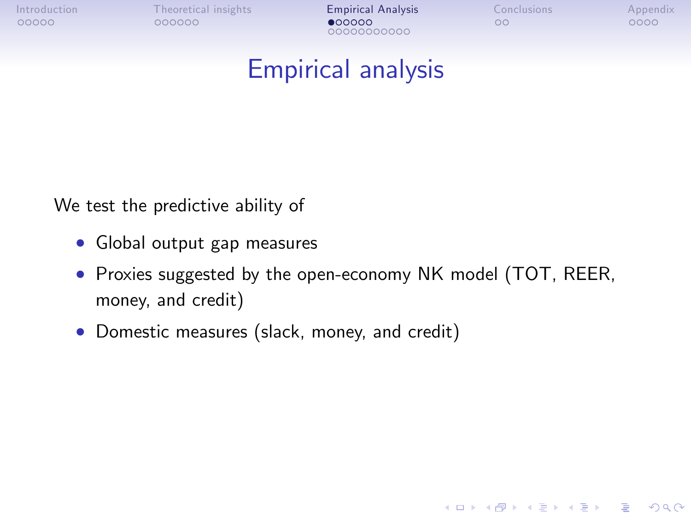00000000000

**KORK STRATER STRAKER** 

### Empirical analysis

We test the predictive ability of

- Global output gap measures
- Proxies suggested by the open-economy NK model (TOT, REER, money, and credit)
- <span id="page-20-0"></span>Domestic measures (slack, money, and credit)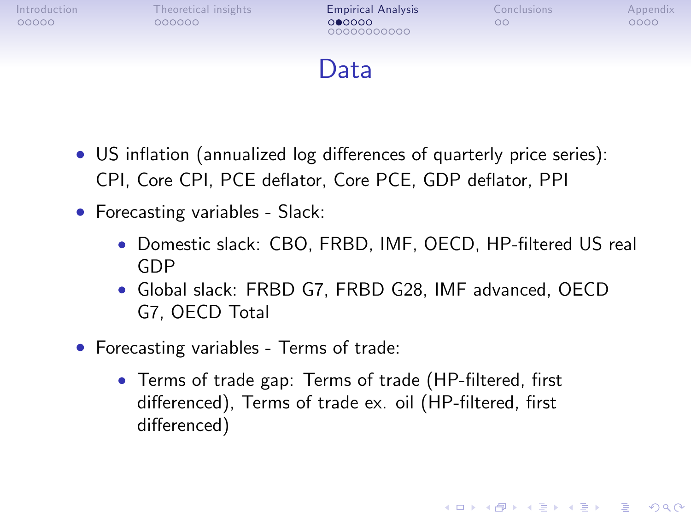00000000000

**KORK STRATER STRAKER** 

## Data

- US inflation (annualized log differences of quarterly price series): CPI, Core CPI, PCE deflator, Core PCE, GDP deflator, PPI
- Forecasting variables Slack:
	- Domestic slack: CBO, FRBD, IMF, OECD, HP-filtered US real GDP
	- Global slack: FRBD G7, FRBD G28, IMF advanced, OECD G7, OECD Total
- Forecasting variables Terms of trade:
	- Terms of trade gap: Terms of trade (HP-filtered, first differenced), Terms of trade ex. oil (HP-filtered, first differenced)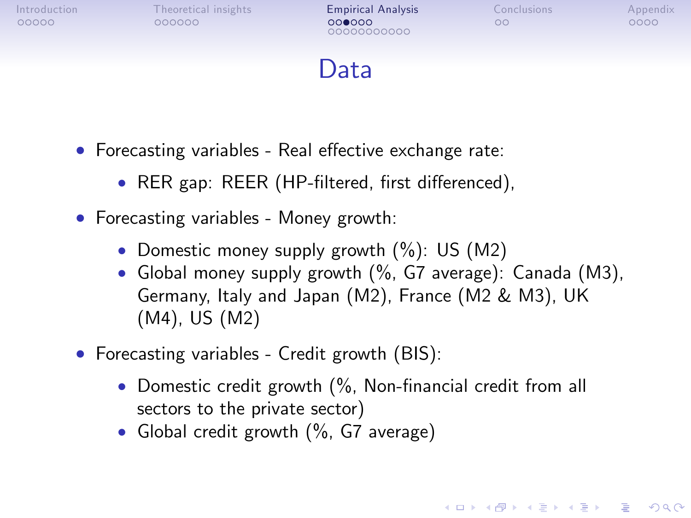00000000000

**KORK STRATER STRAKER** 

## Data

- Forecasting variables Real effective exchange rate:
	- RER gap: REER (HP-filtered, first differenced),
- Forecasting variables Money growth:
	- Domestic money supply growth  $(\%)$ : US  $(M2)$
	- Global money supply growth (%, G7 average): Canada (M3), Germany, Italy and Japan (M2), France (M2 & M3), UK (M4), US (M2)
- Forecasting variables Credit growth (BIS):
	- Domestic credit growth  $\frac{6}{6}$ , Non-financial credit from all sectors to the private sector)
	- Global credit growth (%, G7 average)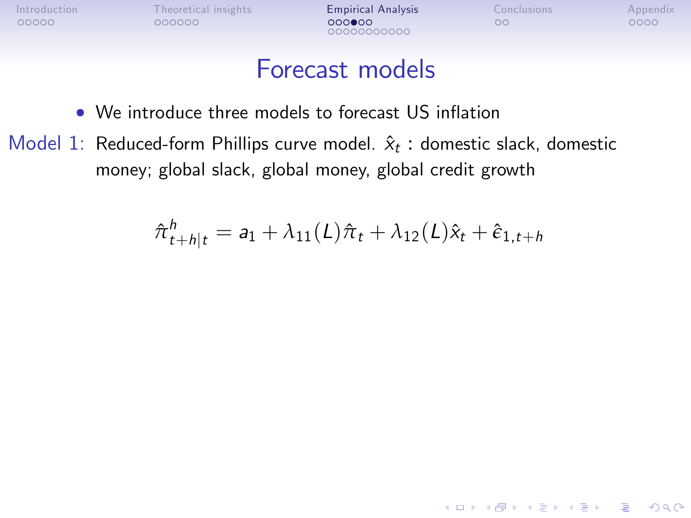00000000000

**KORK STRATER STRAKER** 

#### Forecast models

- We introduce three models to forecast US inflation
- Model 1: Reduced-form Phillips curve model.  $\hat{x}_t$  : domestic slack, domestic money; global slack, global money, global credit growth

$$
\hat{\pi}_{t+h|t}^h = a_1 + \lambda_{11}(L)\hat{\pi}_t + \lambda_{12}(L)\hat{x}_t + \hat{\epsilon}_{1,t+h}
$$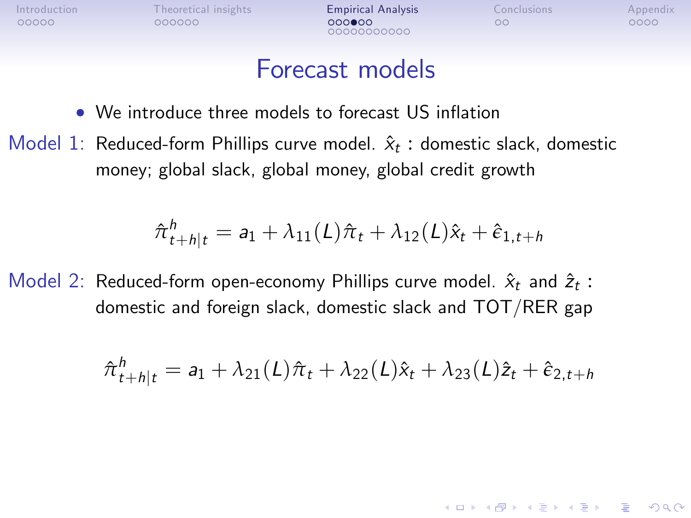00000000000

**KORK STRATER STRAKER** 

#### Forecast models

- We introduce three models to forecast US inflation
- Model 1: Reduced-form Phillips curve model.  $\hat{x}_t$  : domestic slack, domestic money; global slack, global money, global credit growth

$$
\hat{\pi}_{t+h|t}^h = a_1 + \lambda_{11}(L)\hat{\pi}_t + \lambda_{12}(L)\hat{x}_t + \hat{\epsilon}_{1,t+h}
$$

Model 2: Reduced-form open-economy Phillips curve model.  $\hat{x}_t$  and  $\hat{z}_t$ : domestic and foreign slack, domestic slack and TOT/RER gap

$$
\hat{\pi}_{t+h|t}^h = a_1 + \lambda_{21}(L)\hat{\pi}_t + \lambda_{22}(L)\hat{x}_t + \lambda_{23}(L)\hat{z}_t + \hat{\epsilon}_{2,t+h}
$$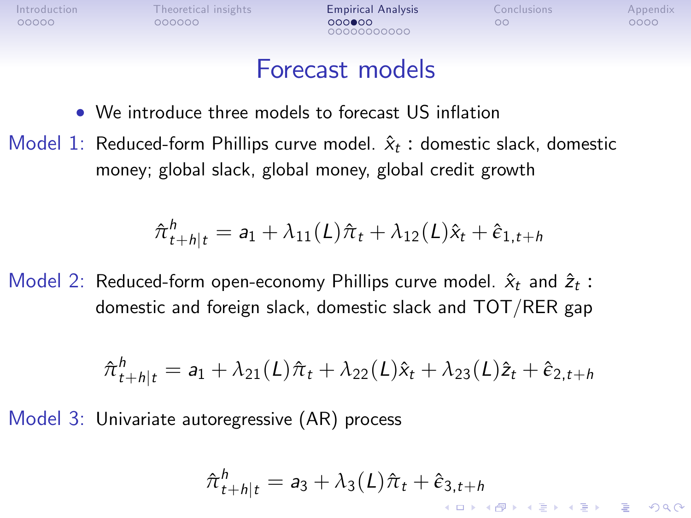[Introduction](#page-1-0) [Theoretical insights](#page-14-0) **[Empirical Analysis](#page-20-0)** [Conclusions](#page-39-0) [Appendix](#page-41-0)<br>
00000 000000 000000 00000 000 000 0000

00000000000

 $4 \equiv 1$   $\equiv 0.99$ 

#### Forecast models

- We introduce three models to forecast US inflation
- Model 1: Reduced-form Phillips curve model.  $\hat{x}_t$  : domestic slack, domestic money; global slack, global money, global credit growth

$$
\hat{\pi}_{t+h|t}^h = a_1 + \lambda_{11}(L)\hat{\pi}_t + \lambda_{12}(L)\hat{x}_t + \hat{\epsilon}_{1,t+h}
$$

Model 2: Reduced-form open-economy Phillips curve model.  $\hat{x}_t$  and  $\hat{z}_t$ : domestic and foreign slack, domestic slack and TOT/RER gap

$$
\hat{\pi}_{t+h|t}^h = a_1 + \lambda_{21}(L)\hat{\pi}_t + \lambda_{22}(L)\hat{x}_t + \lambda_{23}(L)\hat{z}_t + \hat{\epsilon}_{2,t+h}
$$

Model 3: Univariate autoregressive (AR) process

$$
\hat{\pi}_{t+h|t}^h = a_3 + \lambda_3(L)\hat{\pi}_t + \hat{\epsilon}_{3,t+h}
$$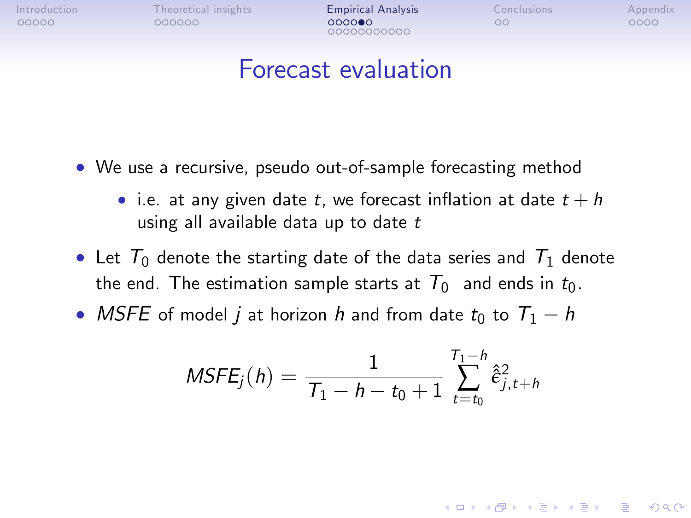00000000000

**KORKA SERKER ORA** 

#### Forecast evaluation

- We use a recursive, pseudo out-of-sample forecasting method
	- i.e. at any given date t, we forecast inflation at date  $t + h$ using all available data up to date  $t$
- Let  $T_0$  denote the starting date of the data series and  $T_1$  denote the end. The estimation sample starts at  $T_0$  and ends in  $t_0$ .
- MSFE of model *i* at horizon *h* and from date  $t_0$  to  $T_1 h$

$$
MSFE_j(h) = \frac{1}{T_1 - h - t_0 + 1} \sum_{t=t_0}^{T_1 - h} \hat{\epsilon}_{j, t+h}^2
$$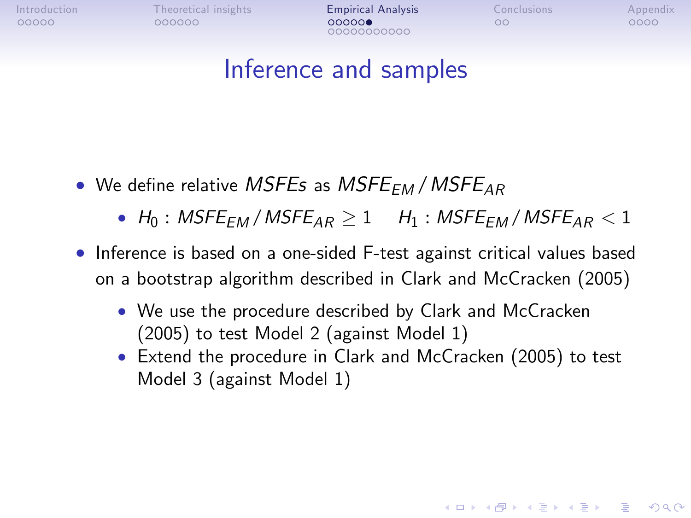[Introduction](#page-1-0) [Theoretical insights](#page-14-0) **[Empirical Analysis](#page-20-0)** [Conclusions](#page-39-0) [Appendix](#page-41-0)<br>
00000 000000 000000 000000 00000 00000

00000000000

**KORKA SERKER ORA** 

### Inference and samples

- We define relative MSFEs as MSFE<sub>FM</sub> / MSFE<sub>AR</sub>
	- $H_0$ : MSFE<sub>FM</sub> / MSFE<sub>AR</sub>  $\geq 1$  H<sub>1</sub>: MSFE<sub>FM</sub> / MSFE<sub>AR</sub>  $< 1$
- Inference is based on a one-sided F-test against critical values based on a bootstrap algorithm described in Clark and McCracken (2005)
	- We use the procedure described by Clark and McCracken (2005) to test Model 2 (against Model 1)
	- Extend the procedure in Clark and McCracken (2005) to test Model 3 (against Model 1)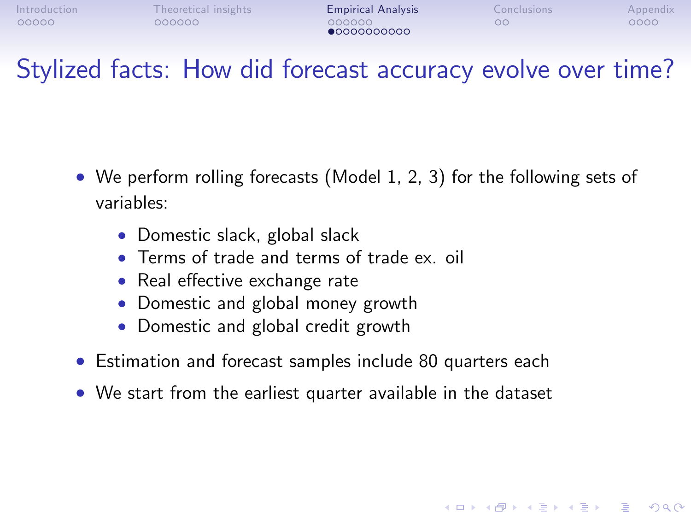**KORK ERKER ER AGA** 

### Stylized facts: How did forecast accuracy evolve over time?

- We perform rolling forecasts (Model 1, 2, 3) for the following sets of variables:
	- Domestic slack, global slack
	- Terms of trade and terms of trade ex. oil
	- Real effective exchange rate
	- Domestic and global money growth
	- Domestic and global credit growth
- Estimation and forecast samples include 80 quarters each
- We start from the earliest quarter available in the dataset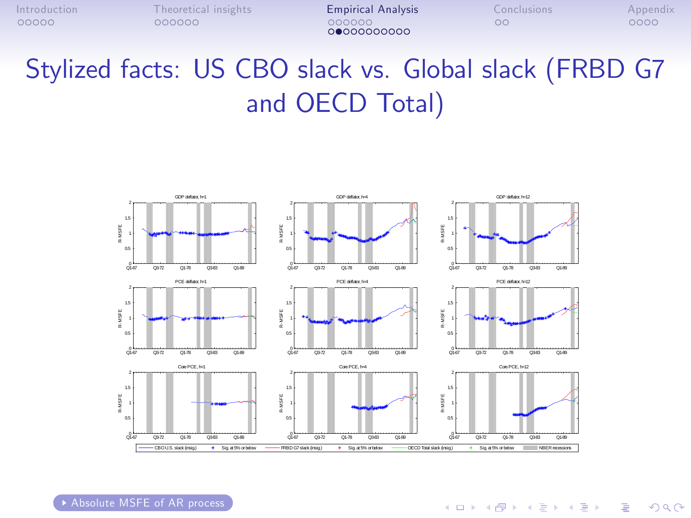00000000000

# <span id="page-29-0"></span>Stylized facts: US CBO slack vs. Global slack (FRBD G7 and OECD Total)



[Absolute MSFE of AR process](#page-41-1)

**KORK ERRY ABY DE YOUR**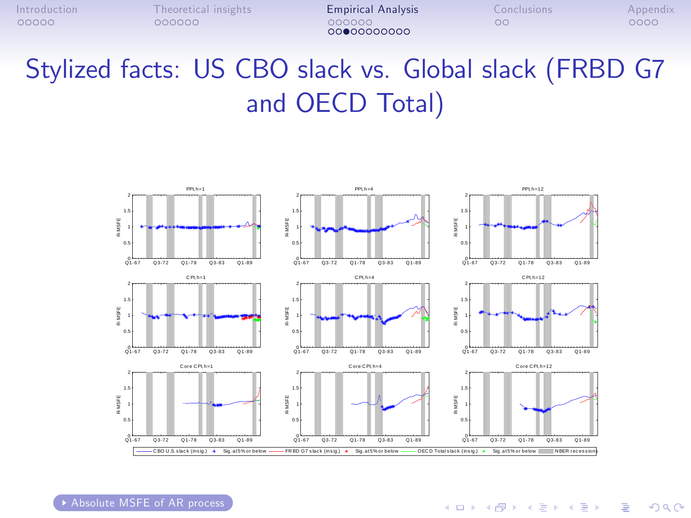00000000000

# <span id="page-30-0"></span>Stylized facts: US CBO slack vs. Global slack (FRBD G7 and OECD Total)



[Absolute MSFE of AR process](#page-42-0)

**KORK ERRY ABY DE YOUR**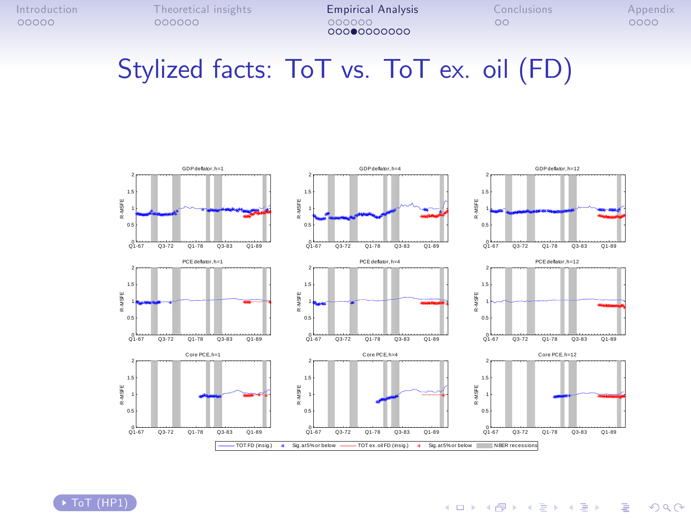### <span id="page-31-0"></span>Stylized facts: ToT vs. ToT ex. oil (FD)



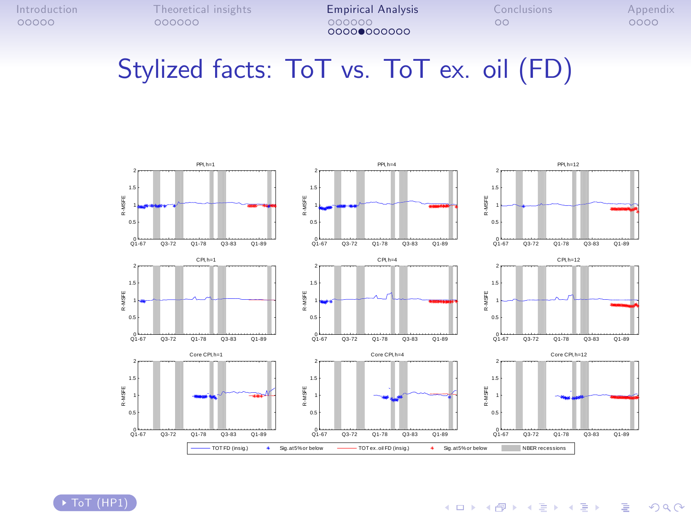## <span id="page-32-0"></span>Stylized facts: ToT vs. ToT ex. oil (FD)



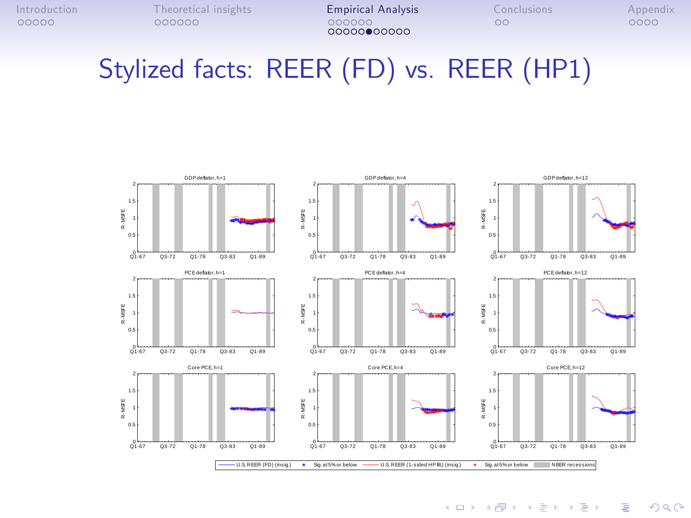# Stylized facts: REER (FD) vs. REER (HP1)



**KORK STRATER STRAKER**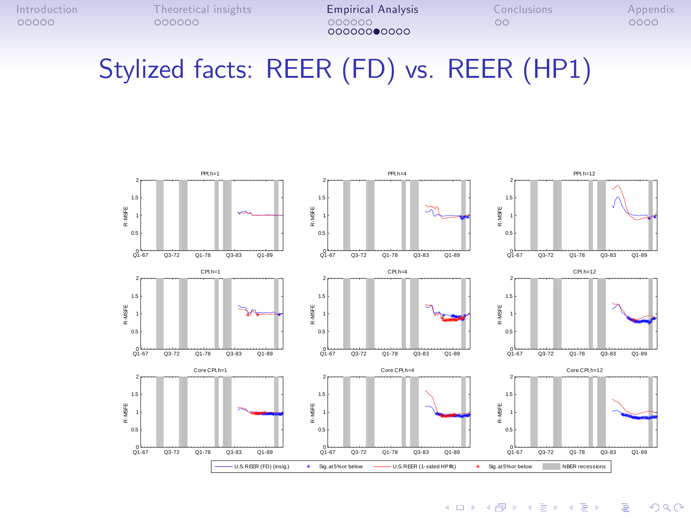# Stylized facts: REER (FD) vs. REER (HP1)



 $(1 - 4)$   $(1 - 4)$   $(1 - 4)$   $(1 - 4)$   $(1 - 4)$   $(1 - 4)$   $(1 - 4)$   $(1 - 4)$   $(1 - 4)$   $(1 - 4)$   $(1 - 4)$   $(1 - 4)$   $(1 - 4)$   $(1 - 4)$   $(1 - 4)$   $(1 - 4)$   $(1 - 4)$   $(1 - 4)$   $(1 - 4)$   $(1 - 4)$   $(1 - 4)$   $(1 - 4)$   $(1 - 4)$   $(1 - 4)$   $(1 -$  $\Rightarrow$  $2990$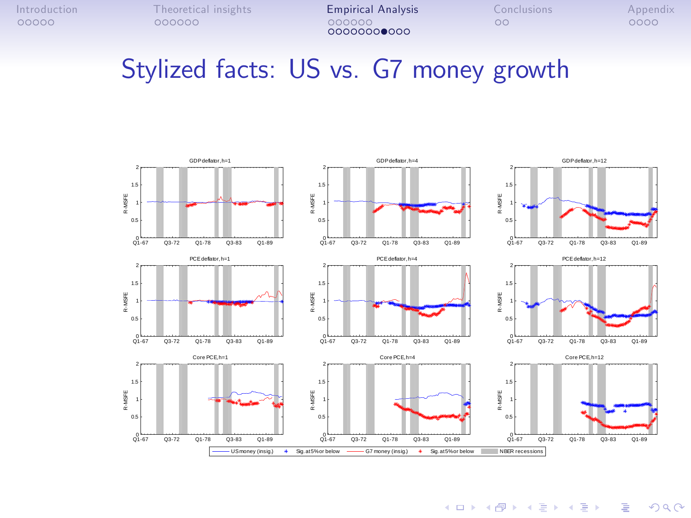### Stylized facts: US vs. G7 money growth



K ロ ▶ K @ ▶ K 할 > K 할 > 1 할 > 1 이익어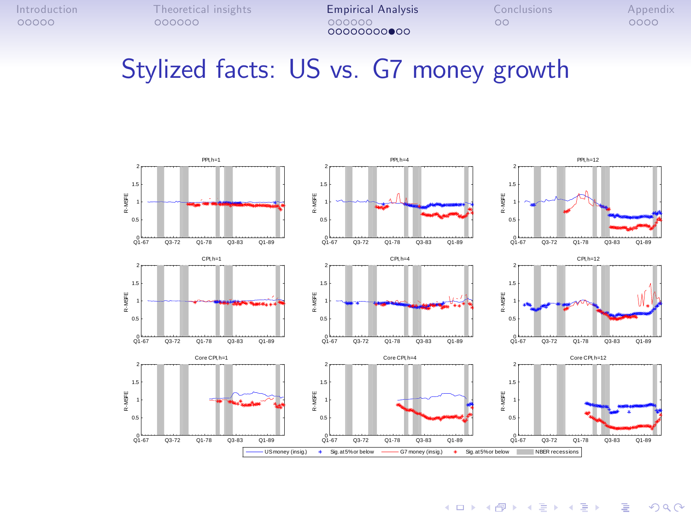## Stylized facts: US vs. G7 money growth



 $\mathbf{E} = \mathbf{A} \oplus \mathbf{A} + \mathbf{A} \oplus \mathbf{A} + \mathbf{A} \oplus \mathbf{A} + \mathbf{A} \oplus \mathbf{A} + \mathbf{A} \oplus \mathbf{A} + \mathbf{A} \oplus \mathbf{A} + \mathbf{A} \oplus \mathbf{A} + \mathbf{A} \oplus \mathbf{A} + \mathbf{A} \oplus \mathbf{A} + \mathbf{A} \oplus \mathbf{A} + \mathbf{A} \oplus \mathbf{A} + \mathbf{A} \oplus \mathbf{A} + \mathbf{A} \oplus \mathbf{A} + \mathbf{A$  $2990$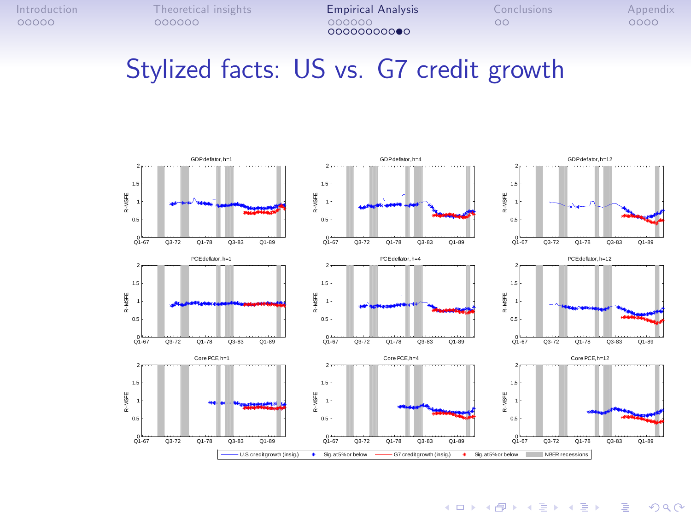#### Stylized facts: US vs. G7 credit growth



K ロ ▶ K @ ▶ K 할 > K 할 > 1 할 > 1 이익어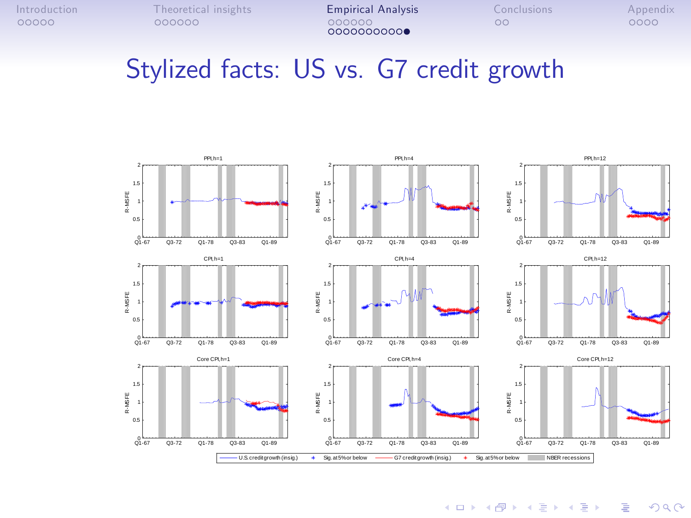### Stylized facts: US vs. G7 credit growth



 $\mathbf{E} = \mathbf{A} \oplus \mathbf{B} + \mathbf{A} \oplus \mathbf{B} + \mathbf{A} \oplus \mathbf{B} + \mathbf{A} \oplus \mathbf{A}$  $299$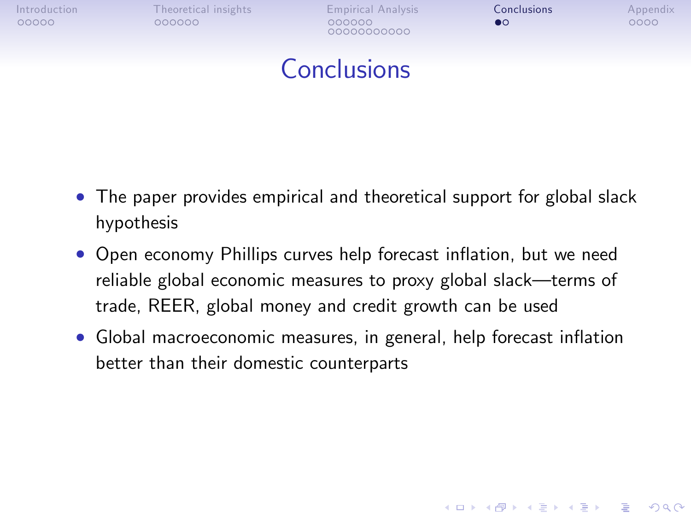00000000000

**KORK STRATER STRAKER** 

## Conclusions

- The paper provides empirical and theoretical support for global slack hypothesis
- Open economy Phillips curves help forecast inflation, but we need reliable global economic measures to proxy global slack—terms of trade, REER, global money and credit growth can be used
- <span id="page-39-0"></span>• Global macroeconomic measures, in general, help forecast inflation better than their domestic counterparts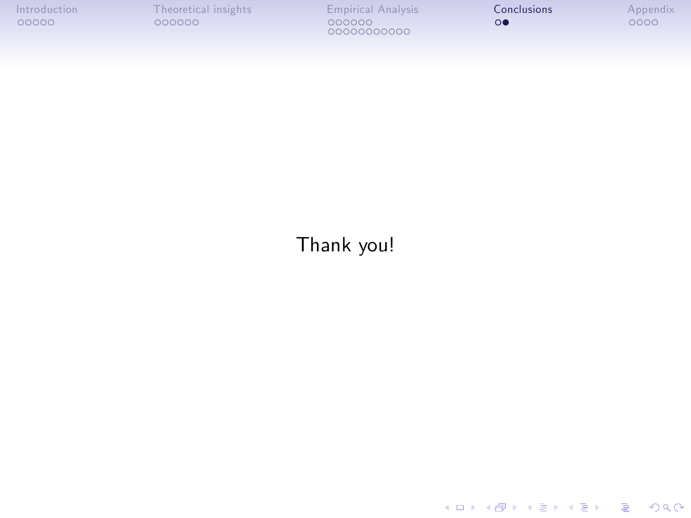| Introduction |  |
|--------------|--|
| 00000        |  |

◆ロメ ◆御メ ◆唐メ ◆唐メン 唐山

 $299$ 

#### Thank you!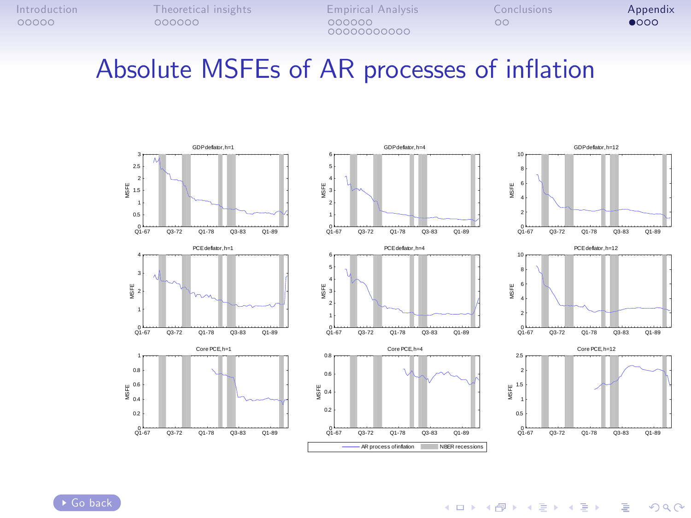### <span id="page-41-1"></span>Absolute MSFEs of AR processes of inflation









<span id="page-41-0"></span>[Go back](#page-29-0)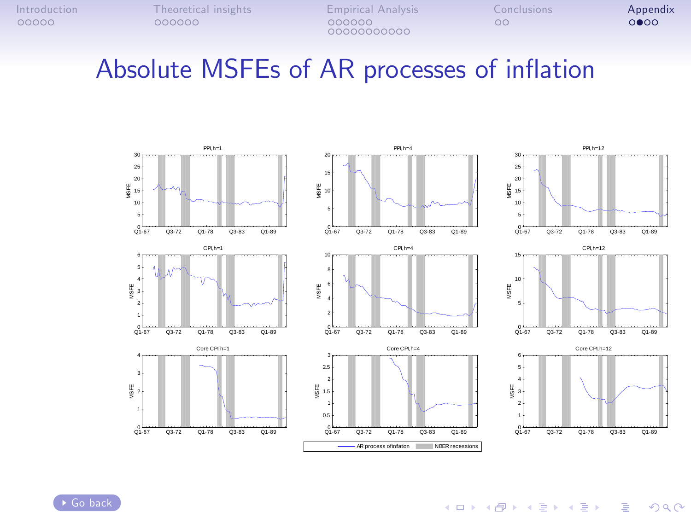00000000000

### <span id="page-42-0"></span>Absolute MSFEs of AR processes of inflation









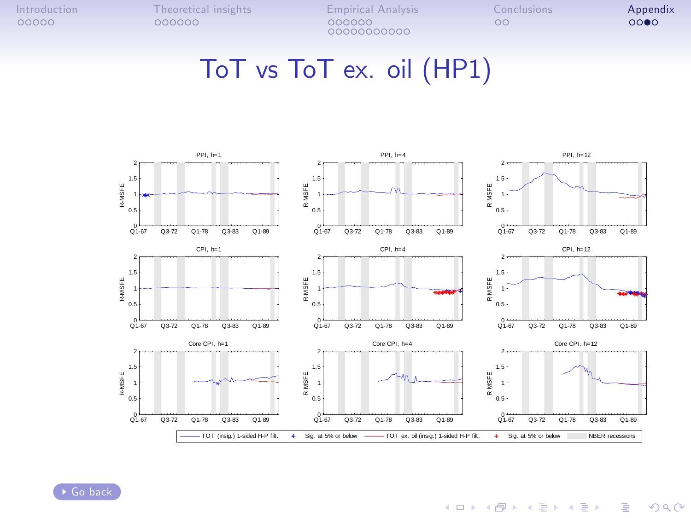[Introduction](#page-1-0) [Theoretical insights](#page-14-0) [Empirical Analysis](#page-20-0) [Conclusions](#page-39-0) **[Appendix](#page-41-0)**<br>
00000 000000 000000 000000 00000 00 00000000000

#### ToT vs ToT ex. oil (HP1)

<span id="page-43-0"></span>